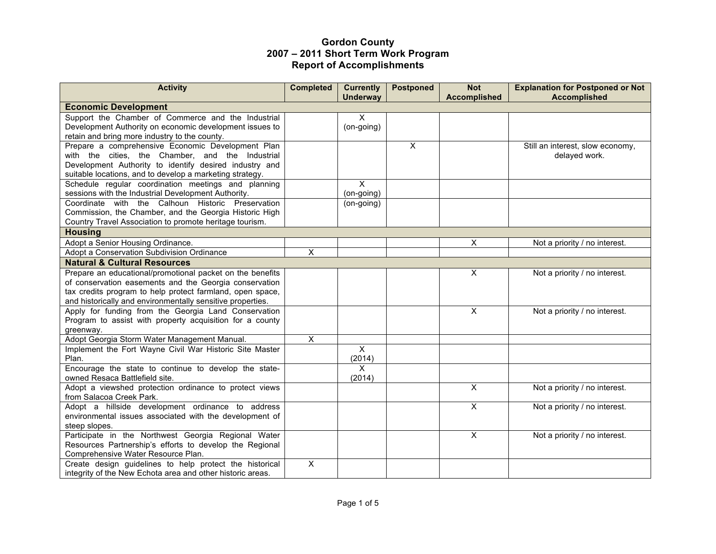| <b>Activity</b>                                                                          | <b>Completed</b>        | <b>Currently</b><br><b>Underway</b> | <b>Postponed</b> | <b>Not</b><br><b>Accomplished</b> | <b>Explanation for Postponed or Not</b><br><b>Accomplished</b> |
|------------------------------------------------------------------------------------------|-------------------------|-------------------------------------|------------------|-----------------------------------|----------------------------------------------------------------|
| <b>Economic Development</b>                                                              |                         |                                     |                  |                                   |                                                                |
| Support the Chamber of Commerce and the Industrial                                       |                         | X                                   |                  |                                   |                                                                |
| Development Authority on economic development issues to                                  |                         | (on-going)                          |                  |                                   |                                                                |
| retain and bring more industry to the county.                                            |                         |                                     |                  |                                   |                                                                |
| Prepare a comprehensive Economic Development Plan                                        |                         |                                     | X                |                                   | Still an interest, slow economy,                               |
| with the cities, the Chamber, and the Industrial                                         |                         |                                     |                  |                                   | delayed work.                                                  |
| Development Authority to identify desired industry and                                   |                         |                                     |                  |                                   |                                                                |
| suitable locations, and to develop a marketing strategy.                                 |                         |                                     |                  |                                   |                                                                |
| Schedule regular coordination meetings and planning                                      |                         | X                                   |                  |                                   |                                                                |
| sessions with the Industrial Development Authority.                                      |                         | (on-going)                          |                  |                                   |                                                                |
| Coordinate with the Calhoun Historic Preservation                                        |                         | (on-going)                          |                  |                                   |                                                                |
| Commission, the Chamber, and the Georgia Historic High                                   |                         |                                     |                  |                                   |                                                                |
| Country Travel Association to promote heritage tourism.                                  |                         |                                     |                  |                                   |                                                                |
| <b>Housing</b>                                                                           |                         |                                     |                  |                                   |                                                                |
| Adopt a Senior Housing Ordinance.                                                        |                         |                                     |                  | X                                 | Not a priority / no interest.                                  |
| Adopt a Conservation Subdivision Ordinance                                               | X                       |                                     |                  |                                   |                                                                |
| <b>Natural &amp; Cultural Resources</b>                                                  |                         |                                     |                  |                                   |                                                                |
| Prepare an educational/promotional packet on the benefits                                |                         |                                     |                  | $\pmb{\times}$                    | Not a priority / no interest.                                  |
| of conservation easements and the Georgia conservation                                   |                         |                                     |                  |                                   |                                                                |
| tax credits program to help protect farmland, open space,                                |                         |                                     |                  |                                   |                                                                |
| and historically and environmentally sensitive properties.                               |                         |                                     |                  |                                   |                                                                |
| Apply for funding from the Georgia Land Conservation                                     |                         |                                     |                  | X                                 | Not a priority / no interest.                                  |
| Program to assist with property acquisition for a county                                 |                         |                                     |                  |                                   |                                                                |
| greenway.                                                                                |                         |                                     |                  |                                   |                                                                |
| Adopt Georgia Storm Water Management Manual.                                             | $\overline{\mathsf{x}}$ |                                     |                  |                                   |                                                                |
| Implement the Fort Wayne Civil War Historic Site Master                                  |                         | $\overline{\mathsf{x}}$             |                  |                                   |                                                                |
| Plan.                                                                                    |                         | (2014)                              |                  |                                   |                                                                |
| Encourage the state to continue to develop the state-                                    |                         | X                                   |                  |                                   |                                                                |
| owned Resaca Battlefield site.<br>Adopt a viewshed protection ordinance to protect views |                         | (2014)                              |                  | $\mathsf{X}$                      | Not a priority / no interest.                                  |
| from Salacoa Creek Park.                                                                 |                         |                                     |                  |                                   |                                                                |
| Adopt a hillside development ordinance to address                                        |                         |                                     |                  | X                                 | Not a priority / no interest.                                  |
| environmental issues associated with the development of                                  |                         |                                     |                  |                                   |                                                                |
| steep slopes.                                                                            |                         |                                     |                  |                                   |                                                                |
| Participate in the Northwest Georgia Regional Water                                      |                         |                                     |                  | $\overline{\mathsf{x}}$           | Not a priority / no interest.                                  |
| Resources Partnership's efforts to develop the Regional                                  |                         |                                     |                  |                                   |                                                                |
| Comprehensive Water Resource Plan.                                                       |                         |                                     |                  |                                   |                                                                |
| Create design guidelines to help protect the historical                                  | X                       |                                     |                  |                                   |                                                                |
| integrity of the New Echota area and other historic areas.                               |                         |                                     |                  |                                   |                                                                |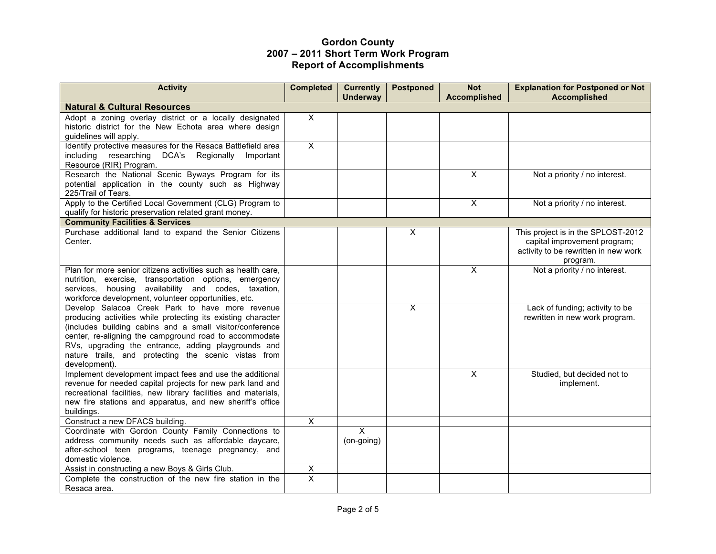| <b>Activity</b>                                                                                                                                                                                                                                                                                                                                                       | <b>Completed</b>        | <b>Currently</b><br><b>Underway</b> | <b>Postponed</b>        | <b>Not</b><br><b>Accomplished</b> | <b>Explanation for Postponed or Not</b><br><b>Accomplished</b>                                                         |
|-----------------------------------------------------------------------------------------------------------------------------------------------------------------------------------------------------------------------------------------------------------------------------------------------------------------------------------------------------------------------|-------------------------|-------------------------------------|-------------------------|-----------------------------------|------------------------------------------------------------------------------------------------------------------------|
| <b>Natural &amp; Cultural Resources</b>                                                                                                                                                                                                                                                                                                                               |                         |                                     |                         |                                   |                                                                                                                        |
| Adopt a zoning overlay district or a locally designated<br>historic district for the New Echota area where design<br>guidelines will apply.                                                                                                                                                                                                                           | $\overline{X}$          |                                     |                         |                                   |                                                                                                                        |
| Identify protective measures for the Resaca Battlefield area<br>including researching DCA's Regionally<br>Important<br>Resource (RIR) Program.                                                                                                                                                                                                                        | $\overline{X}$          |                                     |                         |                                   |                                                                                                                        |
| Research the National Scenic Byways Program for its<br>potential application in the county such as Highway<br>225/Trail of Tears.                                                                                                                                                                                                                                     |                         |                                     |                         | $\pmb{\times}$                    | Not a priority / no interest.                                                                                          |
| Apply to the Certified Local Government (CLG) Program to<br>qualify for historic preservation related grant money.                                                                                                                                                                                                                                                    |                         |                                     |                         | $\overline{\mathsf{x}}$           | Not a priority / no interest.                                                                                          |
| <b>Community Facilities &amp; Services</b>                                                                                                                                                                                                                                                                                                                            |                         |                                     |                         |                                   |                                                                                                                        |
| Purchase additional land to expand the Senior Citizens<br>Center.                                                                                                                                                                                                                                                                                                     |                         |                                     | X                       |                                   | This project is in the SPLOST-2012<br>capital improvement program;<br>activity to be rewritten in new work<br>program. |
| Plan for more senior citizens activities such as health care,<br>nutrition, exercise, transportation options, emergency<br>services, housing availability and codes, taxation,<br>workforce development, volunteer opportunities, etc.                                                                                                                                |                         |                                     |                         | $\overline{X}$                    | Not a priority / no interest.                                                                                          |
| Develop Salacoa Creek Park to have more revenue<br>producing activities while protecting its existing character<br>(includes building cabins and a small visitor/conference<br>center, re-aligning the campground road to accommodate<br>RVs, upgrading the entrance, adding playgrounds and<br>nature trails, and protecting the scenic vistas from<br>development). |                         |                                     | $\overline{\mathsf{x}}$ |                                   | Lack of funding; activity to be<br>rewritten in new work program.                                                      |
| Implement development impact fees and use the additional<br>revenue for needed capital projects for new park land and<br>recreational facilities, new library facilities and materials,<br>new fire stations and apparatus, and new sheriff's office<br>buildings.                                                                                                    |                         |                                     |                         | $\mathsf{X}$                      | Studied, but decided not to<br>implement.                                                                              |
| Construct a new DFACS building.                                                                                                                                                                                                                                                                                                                                       | $\overline{\mathsf{x}}$ |                                     |                         |                                   |                                                                                                                        |
| Coordinate with Gordon County Family Connections to<br>address community needs such as affordable daycare,<br>after-school teen programs, teenage pregnancy, and<br>domestic violence.                                                                                                                                                                                |                         | $\mathsf{X}$<br>(on-going)          |                         |                                   |                                                                                                                        |
| Assist in constructing a new Boys & Girls Club.                                                                                                                                                                                                                                                                                                                       | X                       |                                     |                         |                                   |                                                                                                                        |
| Complete the construction of the new fire station in the<br>Resaca area.                                                                                                                                                                                                                                                                                              | $\mathsf{X}$            |                                     |                         |                                   |                                                                                                                        |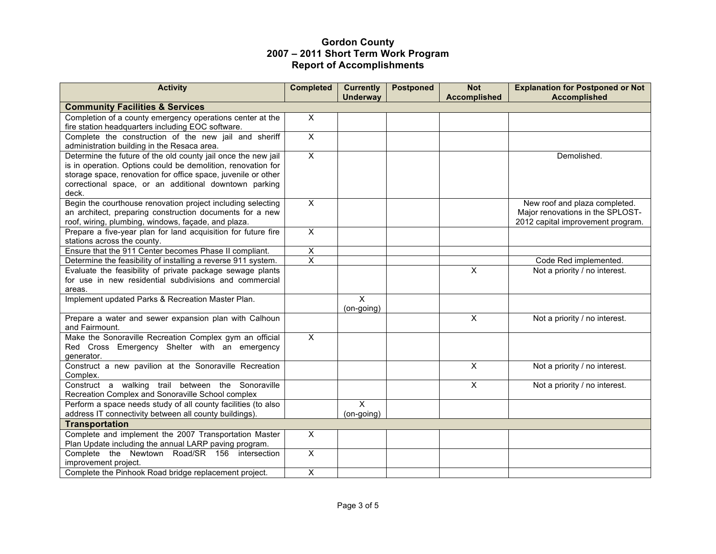| <b>Activity</b>                                                                                                | <b>Completed</b>        | <b>Currently</b>        | <b>Postponed</b> | <b>Not</b>              | <b>Explanation for Postponed or Not</b> |
|----------------------------------------------------------------------------------------------------------------|-------------------------|-------------------------|------------------|-------------------------|-----------------------------------------|
| <b>Community Facilities &amp; Services</b>                                                                     |                         | <b>Underway</b>         |                  | <b>Accomplished</b>     | <b>Accomplished</b>                     |
|                                                                                                                | $\overline{\mathsf{x}}$ |                         |                  |                         |                                         |
| Completion of a county emergency operations center at the<br>fire station headquarters including EOC software. |                         |                         |                  |                         |                                         |
| Complete the construction of the new jail and sheriff                                                          | $\overline{\mathsf{x}}$ |                         |                  |                         |                                         |
| administration building in the Resaca area.                                                                    |                         |                         |                  |                         |                                         |
| Determine the future of the old county jail once the new jail                                                  | $\overline{X}$          |                         |                  |                         | Demolished.                             |
| is in operation. Options could be demolition, renovation for                                                   |                         |                         |                  |                         |                                         |
| storage space, renovation for office space, juvenile or other                                                  |                         |                         |                  |                         |                                         |
| correctional space, or an additional downtown parking                                                          |                         |                         |                  |                         |                                         |
| deck.                                                                                                          |                         |                         |                  |                         |                                         |
| Begin the courthouse renovation project including selecting                                                    | $\overline{X}$          |                         |                  |                         | New roof and plaza completed.           |
| an architect, preparing construction documents for a new                                                       |                         |                         |                  |                         | Major renovations in the SPLOST-        |
| roof, wiring, plumbing, windows, façade, and plaza.                                                            |                         |                         |                  |                         | 2012 capital improvement program.       |
| Prepare a five-year plan for land acquisition for future fire                                                  | $\overline{\mathsf{x}}$ |                         |                  |                         |                                         |
| stations across the county.                                                                                    |                         |                         |                  |                         |                                         |
| Ensure that the 911 Center becomes Phase II compliant.                                                         | X                       |                         |                  |                         |                                         |
| Determine the feasibility of installing a reverse 911 system.                                                  | $\overline{\mathsf{x}}$ |                         |                  |                         | Code Red implemented.                   |
| Evaluate the feasibility of private package sewage plants                                                      |                         |                         |                  | $\overline{\mathsf{x}}$ | Not a priority / no interest.           |
| for use in new residential subdivisions and commercial                                                         |                         |                         |                  |                         |                                         |
| areas.                                                                                                         |                         |                         |                  |                         |                                         |
| Implement updated Parks & Recreation Master Plan.                                                              |                         | $\overline{\mathsf{x}}$ |                  |                         |                                         |
|                                                                                                                |                         | (on-going)              |                  |                         |                                         |
| Prepare a water and sewer expansion plan with Calhoun<br>and Fairmount.                                        |                         |                         |                  | X                       | Not a priority / no interest.           |
| Make the Sonoraville Recreation Complex gym an official                                                        | $\overline{X}$          |                         |                  |                         |                                         |
| Red Cross Emergency Shelter with an emergency                                                                  |                         |                         |                  |                         |                                         |
| generator.                                                                                                     |                         |                         |                  |                         |                                         |
| Construct a new pavilion at the Sonoraville Recreation<br>Complex.                                             |                         |                         |                  | $\overline{\mathsf{x}}$ | Not a priority / no interest.           |
| Construct a walking trail between the Sonoraville                                                              |                         |                         |                  | $\overline{X}$          | Not a priority / no interest.           |
| Recreation Complex and Sonoraville School complex                                                              |                         |                         |                  |                         |                                         |
| Perform a space needs study of all county facilities (to also                                                  |                         | $\mathsf{X}$            |                  |                         |                                         |
| address IT connectivity between all county buildings).                                                         |                         | (on-going)              |                  |                         |                                         |
| <b>Transportation</b>                                                                                          |                         |                         |                  |                         |                                         |
| Complete and implement the 2007 Transportation Master                                                          | $\overline{\mathsf{x}}$ |                         |                  |                         |                                         |
| Plan Update including the annual LARP paving program.                                                          |                         |                         |                  |                         |                                         |
| Complete the Newtown Road/SR 156 intersection                                                                  | $\overline{X}$          |                         |                  |                         |                                         |
| improvement project.                                                                                           |                         |                         |                  |                         |                                         |
| Complete the Pinhook Road bridge replacement project.                                                          | $\overline{\mathsf{x}}$ |                         |                  |                         |                                         |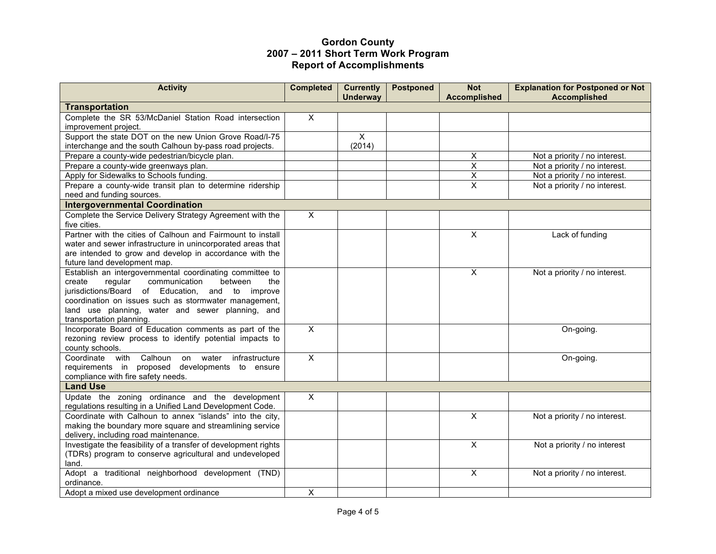| <b>Activity</b>                                                                                          | <b>Completed</b>        | <b>Currently</b><br><b>Underway</b> | <b>Postponed</b> | <b>Not</b><br><b>Accomplished</b> | <b>Explanation for Postponed or Not</b><br><b>Accomplished</b> |
|----------------------------------------------------------------------------------------------------------|-------------------------|-------------------------------------|------------------|-----------------------------------|----------------------------------------------------------------|
| <b>Transportation</b>                                                                                    |                         |                                     |                  |                                   |                                                                |
| Complete the SR 53/McDaniel Station Road intersection                                                    | $\overline{\mathsf{x}}$ |                                     |                  |                                   |                                                                |
| improvement project.                                                                                     |                         |                                     |                  |                                   |                                                                |
| Support the state DOT on the new Union Grove Road/I-75                                                   |                         | $\mathsf{X}$                        |                  |                                   |                                                                |
| interchange and the south Calhoun by-pass road projects.                                                 |                         | (2014)                              |                  |                                   |                                                                |
| Prepare a county-wide pedestrian/bicycle plan.                                                           |                         |                                     |                  | X                                 | Not a priority / no interest.                                  |
| Prepare a county-wide greenways plan.                                                                    |                         |                                     |                  | X                                 | Not a priority / no interest.                                  |
| Apply for Sidewalks to Schools funding.                                                                  |                         |                                     |                  | $\overline{\mathsf{x}}$           | Not a priority / no interest.                                  |
| Prepare a county-wide transit plan to determine ridership                                                |                         |                                     |                  | $\overline{\mathsf{x}}$           | Not a priority / no interest.                                  |
| need and funding sources.                                                                                |                         |                                     |                  |                                   |                                                                |
| <b>Intergovernmental Coordination</b>                                                                    |                         |                                     |                  |                                   |                                                                |
| Complete the Service Delivery Strategy Agreement with the                                                | X                       |                                     |                  |                                   |                                                                |
| five cities.                                                                                             |                         |                                     |                  |                                   |                                                                |
| Partner with the cities of Calhoun and Fairmount to install                                              |                         |                                     |                  | $\overline{\mathsf{x}}$           | Lack of funding                                                |
| water and sewer infrastructure in unincorporated areas that                                              |                         |                                     |                  |                                   |                                                                |
| are intended to grow and develop in accordance with the                                                  |                         |                                     |                  |                                   |                                                                |
| future land development map.                                                                             |                         |                                     |                  |                                   |                                                                |
| Establish an intergovernmental coordinating committee to                                                 |                         |                                     |                  | $\mathsf{X}$                      | Not a priority / no interest.                                  |
| regular<br>communication<br>between<br>the<br>create<br>jurisdictions/Board of Education, and to improve |                         |                                     |                  |                                   |                                                                |
| coordination on issues such as stormwater management,                                                    |                         |                                     |                  |                                   |                                                                |
| land use planning, water and sewer planning, and                                                         |                         |                                     |                  |                                   |                                                                |
| transportation planning.                                                                                 |                         |                                     |                  |                                   |                                                                |
| Incorporate Board of Education comments as part of the                                                   | $\overline{\mathsf{x}}$ |                                     |                  |                                   | On-going.                                                      |
| rezoning review process to identify potential impacts to                                                 |                         |                                     |                  |                                   |                                                                |
| county schools.                                                                                          |                         |                                     |                  |                                   |                                                                |
| Coordinate with<br>Calhoun<br>water<br>infrastructure<br>on                                              | $\mathsf{X}$            |                                     |                  |                                   | On-going.                                                      |
| requirements in proposed developments to ensure                                                          |                         |                                     |                  |                                   |                                                                |
| compliance with fire safety needs.                                                                       |                         |                                     |                  |                                   |                                                                |
| <b>Land Use</b>                                                                                          |                         |                                     |                  |                                   |                                                                |
| Update the zoning ordinance and the development                                                          | $\overline{\mathsf{x}}$ |                                     |                  |                                   |                                                                |
| regulations resulting in a Unified Land Development Code.                                                |                         |                                     |                  |                                   |                                                                |
| Coordinate with Calhoun to annex "islands" into the city,                                                |                         |                                     |                  | $\overline{\mathsf{x}}$           | Not a priority / no interest.                                  |
| making the boundary more square and streamlining service                                                 |                         |                                     |                  |                                   |                                                                |
| delivery, including road maintenance.                                                                    |                         |                                     |                  |                                   |                                                                |
| Investigate the feasibility of a transfer of development rights                                          |                         |                                     |                  | $\overline{\mathsf{x}}$           | Not a priority / no interest                                   |
| (TDRs) program to conserve agricultural and undeveloped                                                  |                         |                                     |                  |                                   |                                                                |
| land.                                                                                                    |                         |                                     |                  |                                   |                                                                |
| Adopt a traditional neighborhood development (TND)                                                       |                         |                                     |                  | $\mathsf{X}$                      | Not a priority / no interest.                                  |
| ordinance.                                                                                               |                         |                                     |                  |                                   |                                                                |
| Adopt a mixed use development ordinance                                                                  | X                       |                                     |                  |                                   |                                                                |